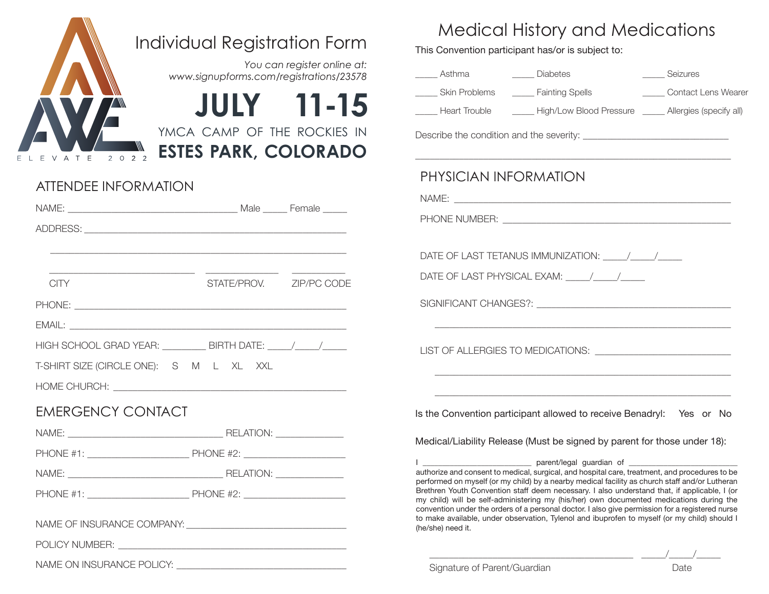

## Individual Registration Form

*www.signupforms.com/registrations/23578 You can register online at:*

**JULY 11-15**

YMCA CAMP OF THE ROCKIES IN

**ESTES PARK, COLORADO**

## ATTENDEE INFORMATION

NAME ON INSURANCE POLICY:

| CITY                                                                              | STATE/PROV. ZIP/PC CODE |  |
|-----------------------------------------------------------------------------------|-------------------------|--|
|                                                                                   |                         |  |
|                                                                                   |                         |  |
| HIGH SCHOOL GRAD YEAR: ___________ BIRTH DATE: _____/_____/______________________ |                         |  |
| T-SHIRT SIZE (CIRCLE ONE): S M L XL XXL                                           |                         |  |
|                                                                                   |                         |  |
| <b>EMERGENCY CONTACT</b>                                                          |                         |  |
|                                                                                   |                         |  |
|                                                                                   |                         |  |
|                                                                                   |                         |  |
|                                                                                   |                         |  |
|                                                                                   |                         |  |
| POLICY NUMBER:                                                                    |                         |  |

## Medical History and Medications

This Convention participant has/or is subject to:

| _____ Diabetes<br>______ Asthma<br>______ Seizures<br>Skin Problems <b>Lation</b> Fainting Spells<br><b>Contact Lens Wearer</b>                                                                                                                                                                                                                                                                                                                                                                                                                                                                                     |
|---------------------------------------------------------------------------------------------------------------------------------------------------------------------------------------------------------------------------------------------------------------------------------------------------------------------------------------------------------------------------------------------------------------------------------------------------------------------------------------------------------------------------------------------------------------------------------------------------------------------|
| Heart Trouble <b>Figh/Low Blood Pressure Figh</b> Allergies (specify all)                                                                                                                                                                                                                                                                                                                                                                                                                                                                                                                                           |
|                                                                                                                                                                                                                                                                                                                                                                                                                                                                                                                                                                                                                     |
| PHYSICIAN INFORMATION                                                                                                                                                                                                                                                                                                                                                                                                                                                                                                                                                                                               |
|                                                                                                                                                                                                                                                                                                                                                                                                                                                                                                                                                                                                                     |
| DATE OF LAST TETANUS IMMUNIZATION: \\cdot \\sqrt{\\sqrt{\sqrt{\sqrt{\sqrt{\sqrt{\sqrt{\sqrt{\sqrt{\sqrt{\sqrt{\sqrt{\sqrt{\sqrt{\sqrt{\sqrt{\sqrt{\sqrt{\sqrt{\sqrt{\sqrt{\sqrt{\sqrt{\sqrt{\sqrt{\sqrt{\sqrt{\sqrt{\sqrt{\sqr                                                                                                                                                                                                                                                                                                                                                                                      |
| DATE OF LAST PHYSICAL EXAM: \\cdot \\cdot \\cdot \\cdot \\cdot \\cdot \\cdot \\cdot \\cdot \\cdot \\cdot \\cdot \\cdot \\cdot \\cdot \\cdot \\cdot \\cdot \\cdot \\cdot \\cdot \\cdot \\cdot \\cdot \\cdot \\cdot \\cdot \\cdo                                                                                                                                                                                                                                                                                                                                                                                      |
|                                                                                                                                                                                                                                                                                                                                                                                                                                                                                                                                                                                                                     |
|                                                                                                                                                                                                                                                                                                                                                                                                                                                                                                                                                                                                                     |
|                                                                                                                                                                                                                                                                                                                                                                                                                                                                                                                                                                                                                     |
| Is the Convention participant allowed to receive Benadryl: Yes or No                                                                                                                                                                                                                                                                                                                                                                                                                                                                                                                                                |
| Medical/Liability Release (Must be signed by parent for those under 18):                                                                                                                                                                                                                                                                                                                                                                                                                                                                                                                                            |
| authorize and consent to medical, surgical, and hospital care, treatment, and procedures to be<br>performed on myself (or my child) by a nearby medical facility as church staff and/or Lutheran<br>Brethren Youth Convention staff deem necessary. I also understand that, if applicable, I (or<br>my child) will be self-administering my (his/her) own documented medications during the<br>convention under the orders of a personal doctor. I also give permission for a registered nurse<br>to make available, under observation, Tylenol and ibuprofen to myself (or my child) should I<br>(he/she) need it. |

\_\_\_\_\_\_\_\_\_\_\_\_\_\_\_\_\_\_\_\_\_\_\_\_\_\_\_\_\_\_\_\_\_\_\_\_\_\_\_\_\_\_ \_\_\_\_\_/\_\_\_\_\_/\_\_\_\_\_